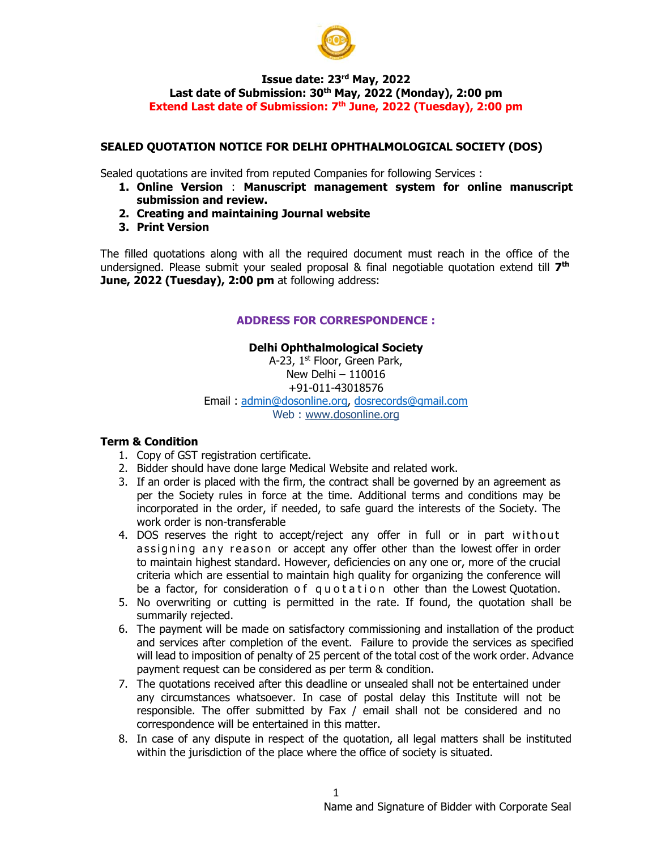

#### **Issue date: 23rd May, 2022** Last date of Submission: 30<sup>th</sup> May, 2022 (Monday), 2:00 pm Extend Last date of Submission: 7<sup>th</sup> June, 2022 (Tuesday), 2:00 pm

# **SEALED QUOTATION NOTICE FOR DELHI OPHTHALMOLOGICAL SOCIETY (DOS)**

Sealed quotations are invited from reputed Companies for following Services :

- **1. Online Version** : **Manuscript management system for online manuscript submission and review.**
- **2. Creating and maintaining Journal website**
- **3. Print Version**

The filled quotations along with all the required document must reach in the office of the undersigned. Please submit your sealed proposal & final negotiable quotation extend till **7th June, 2022 (Tuesday), 2:00 pm** at following address:

## **ADDRESS FOR CORRESPONDENCE :**

# **Delhi Ophthalmological Society**

A-23, 1st Floor, Green Park, New Delhi – 110016 +91-011-43018576 Email : admin@dosonline.org, dosrecords@gmail.com Web : www.dosonline.org

#### **Term & Condition**

- 1. Copy of GST registration certificate.
- 2. Bidder should have done large Medical Website and related work.
- 3. If an order is placed with the firm, the contract shall be governed by an agreement as per the Society rules in force at the time. Additional terms and conditions may be incorporated in the order, if needed, to safe guard the interests of the Society. The work order is non-transferable
- 4. DOS reserves the right to accept/reject any offer in full or in part without assigning any reason or accept any offer other than the lowest offer in order to maintain highest standard. However, deficiencies on any one or, more of the crucial criteria which are essential to maintain high quality for organizing the conference will be a factor, for consideration of quotation other than the Lowest Quotation.
- 5. No overwriting or cutting is permitted in the rate. If found, the quotation shall be summarily rejected.
- 6. The payment will be made on satisfactory commissioning and installation of the product and services after completion of the event. Failure to provide the services as specified will lead to imposition of penalty of 25 percent of the total cost of the work order. Advance payment request can be considered as per term & condition.
- 7. The quotations received after this deadline or unsealed shall not be entertained under any circumstances whatsoever. In case of postal delay this Institute will not be responsible. The offer submitted by Fax / email shall not be considered and no correspondence will be entertained in this matter.
- 8. In case of any dispute in respect of the quotation, all legal matters shall be instituted within the jurisdiction of the place where the office of society is situated.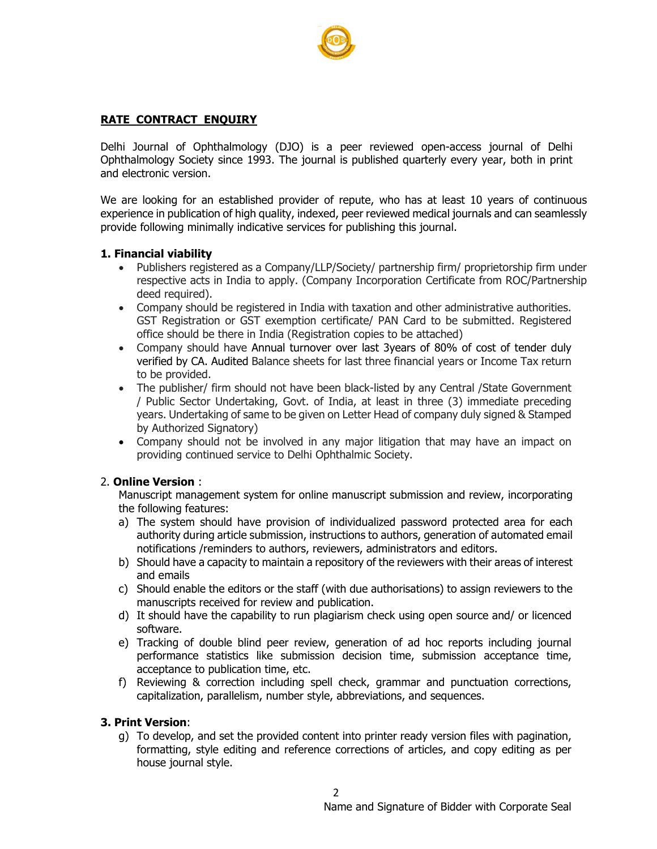

# **RATE CONTRACT ENQUIRY**

Delhi Journal of Ophthalmology (DJO) is a peer reviewed open-access journal of Delhi Ophthalmology Society since 1993. The journal is published quarterly every year, both in print and electronic version.

We are looking for an established provider of repute, who has at least 10 years of continuous experience in publication of high quality, indexed, peer reviewed medical journals and can seamlessly provide following minimally indicative services for publishing this journal.

#### **1. Financial viability**

- Publishers registered as a Company/LLP/Society/ partnership firm/ proprietorship firm under respective acts in India to apply. (Company Incorporation Certificate from ROC/Partnership deed required).
- Company should be registered in India with taxation and other administrative authorities. GST Registration or GST exemption certificate/ PAN Card to be submitted. Registered office should be there in India (Registration copies to be attached)
- Company should have Annual turnover over last 3years of 80% of cost of tender duly verified by CA. Audited Balance sheets for last three financial years or Income Tax return to be provided.
- The publisher/ firm should not have been black-listed by any Central /State Government / Public Sector Undertaking, Govt. of India, at least in three (3) immediate preceding years. Undertaking of same to be given on Letter Head of company duly signed & Stamped by Authorized Signatory)
- Company should not be involved in any major litigation that may have an impact on providing continued service to Delhi Ophthalmic Society.

#### 2. **Online Version** :

Manuscript management system for online manuscript submission and review, incorporating the following features:

- a) The system should have provision of individualized password protected area for each authority during article submission, instructions to authors, generation of automated email notifications /reminders to authors, reviewers, administrators and editors.
- b) Should have a capacity to maintain a repository of the reviewers with their areas of interest and emails
- c) Should enable the editors or the staff (with due authorisations) to assign reviewers to the manuscripts received for review and publication.
- d) It should have the capability to run plagiarism check using open source and/ or licenced software.
- e) Tracking of double blind peer review, generation of ad hoc reports including journal performance statistics like submission decision time, submission acceptance time, acceptance to publication time, etc.
- f) Reviewing & correction including spell check, grammar and punctuation corrections, capitalization, parallelism, number style, abbreviations, and sequences.

## **3. Print Version**:

g) To develop, and set the provided content into printer ready version files with pagination, formatting, style editing and reference corrections of articles, and copy editing as per house journal style.

2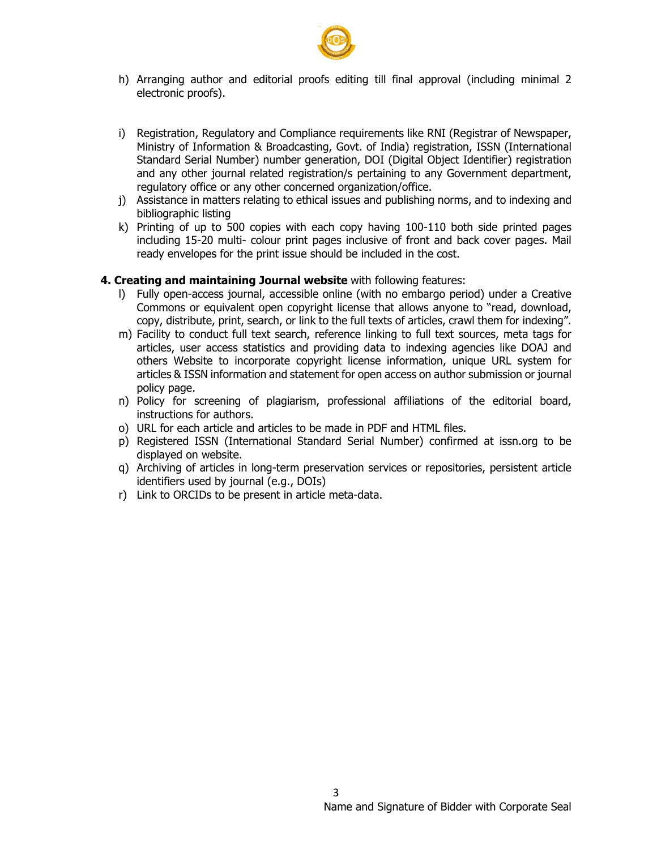

- h) Arranging author and editorial proofs editing till final approval (including minimal 2 electronic proofs).
- i) Registration, Regulatory and Compliance requirements like RNI (Registrar of Newspaper, Ministry of Information & Broadcasting, Govt. of India) registration, ISSN (International Standard Serial Number) number generation, DOI (Digital Object Identifier) registration and any other journal related registration/s pertaining to any Government department, regulatory office or any other concerned organization/office.
- j) Assistance in matters relating to ethical issues and publishing norms, and to indexing and bibliographic listing
- k) Printing of up to 500 copies with each copy having 100-110 both side printed pages including 15-20 multi- colour print pages inclusive of front and back cover pages. Mail ready envelopes for the print issue should be included in the cost.

#### **4. Creating and maintaining Journal website** with following features:

- l) Fully open-access journal, accessible online (with no embargo period) under a Creative Commons or equivalent open copyright license that allows anyone to "read, download, copy, distribute, print, search, or link to the full texts of articles, crawl them for indexing".
- m) Facility to conduct full text search, reference linking to full text sources, meta tags for articles, user access statistics and providing data to indexing agencies like DOAJ and others Website to incorporate copyright license information, unique URL system for articles & ISSN information and statement for open access on author submission or journal policy page.
- n) Policy for screening of plagiarism, professional affiliations of the editorial board, instructions for authors.
- o) URL for each article and articles to be made in PDF and HTML files.
- p) Registered ISSN (International Standard Serial Number) confirmed at issn.org to be displayed on website.
- q) Archiving of articles in long-term preservation services or repositories, persistent article identifiers used by journal (e.g., DOIs)
- r) Link to ORCIDs to be present in article meta-data.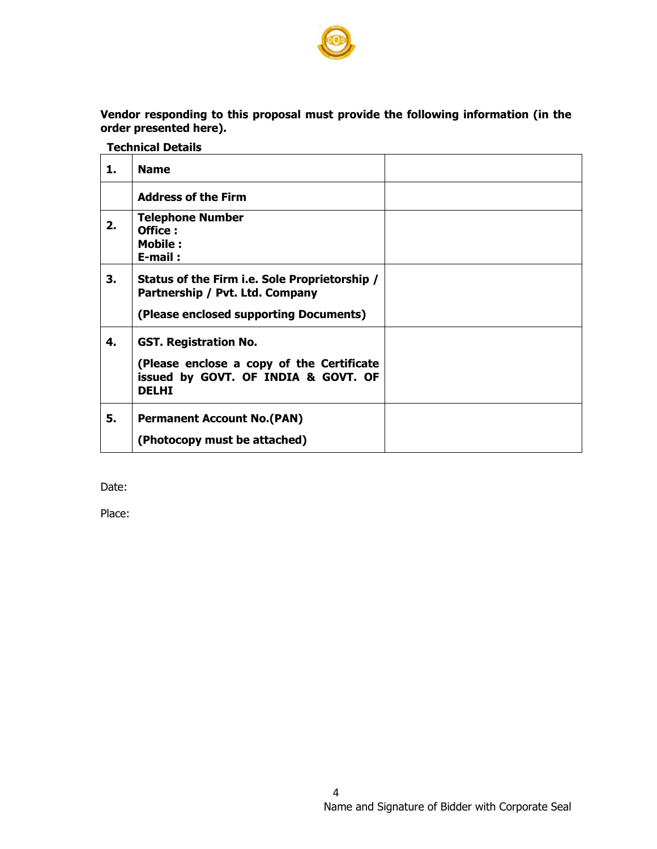

**Vendor responding to this proposal must provide the following information (in the order presented here).** 

 **Technical Details** 

| 1. | <b>Name</b>                                                                                                                      |  |
|----|----------------------------------------------------------------------------------------------------------------------------------|--|
|    | <b>Address of the Firm</b>                                                                                                       |  |
| 2. | <b>Telephone Number</b><br>Office:<br><b>Mobile:</b><br>$E$ -mail:                                                               |  |
| З. | Status of the Firm i.e. Sole Proprietorship /<br>Partnership / Pvt. Ltd. Company<br>(Please enclosed supporting Documents)       |  |
| 4. | <b>GST. Registration No.</b><br>(Please enclose a copy of the Certificate<br>issued by GOVT. OF INDIA & GOVT. OF<br><b>DELHI</b> |  |
| 5. | <b>Permanent Account No. (PAN)</b><br>(Photocopy must be attached)                                                               |  |

Date:

Place: